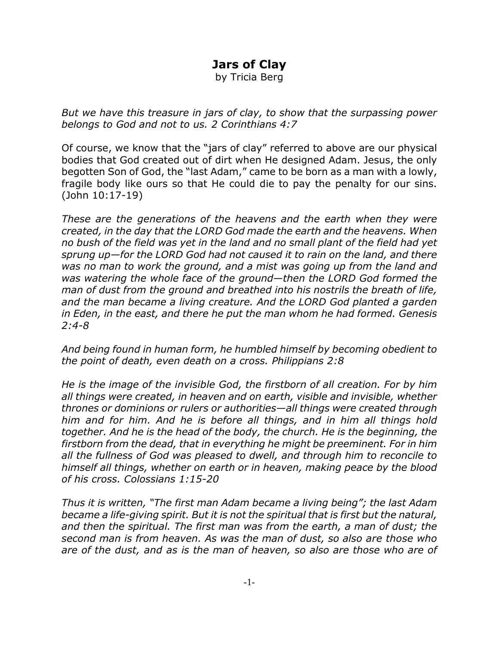## **Jars of Clay**

by Tricia Berg

*But we have this treasure in jars of clay, to show that the surpassing power belongs to God and not to us. 2 Corinthians 4:7*

Of course, we know that the "jars of clay" referred to above are our physical bodies that God created out of dirt when He designed Adam. Jesus, the only begotten Son of God, the "last Adam," came to be born as a man with a lowly, fragile body like ours so that He could die to pay the penalty for our sins. (John 10:17-19)

*These are the generations of the heavens and the earth when they were created, in the day that the LORD God made the earth and the heavens. When no bush of the field was yet in the land and no small plant of the field had yet sprung up—for the LORD God had not caused it to rain on the land, and there was no man to work the ground, and a mist was going up from the land and was watering the whole face of the ground—then the LORD God formed the man of dust from the ground and breathed into his nostrils the breath of life, and the man became a living creature. And the LORD God planted a garden in Eden, in the east, and there he put the man whom he had formed. Genesis 2:4-8*

*And being found in human form, he humbled himself by becoming obedient to the point of death, even death on a cross. Philippians 2:8*

*He is the image of the invisible God, the firstborn of all creation. For by him all things were created, in heaven and on earth, visible and invisible, whether thrones or dominions or rulers or authorities—all things were created through him and for him. And he is before all things, and in him all things hold together. And he is the head of the body, the church. He is the beginning, the firstborn from the dead, that in everything he might be preeminent. For in him all the fullness of God was pleased to dwell, and through him to reconcile to himself all things, whether on earth or in heaven, making peace by the blood of his cross. Colossians 1:15-20*

*Thus it is written, "The first man Adam became a living being"; the last Adam became a life-giving spirit. But it is not the spiritual that is first but the natural, and then the spiritual. The first man was from the earth, a man of dust; the second man is from heaven. As was the man of dust, so also are those who are of the dust, and as is the man of heaven, so also are those who are of*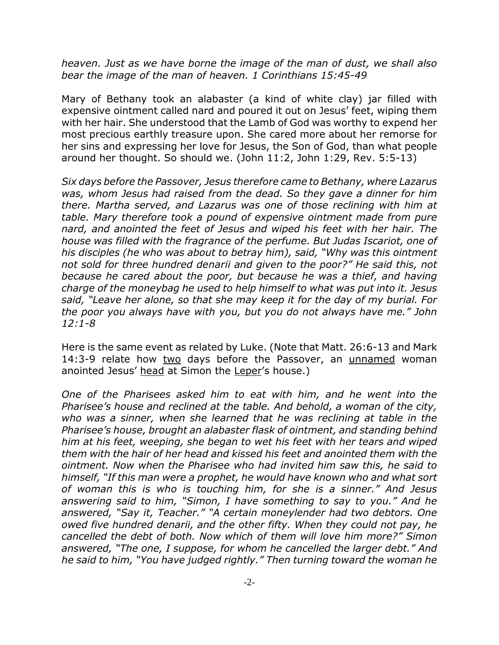*heaven. Just as we have borne the image of the man of dust, we shall also bear the image of the man of heaven. 1 Corinthians 15:45-49*

Mary of Bethany took an alabaster (a kind of white clay) jar filled with expensive ointment called nard and poured it out on Jesus' feet, wiping them with her hair. She understood that the Lamb of God was worthy to expend her most precious earthly treasure upon. She cared more about her remorse for her sins and expressing her love for Jesus, the Son of God, than what people around her thought. So should we. (John 11:2, John 1:29, Rev. 5:5-13)

*Six days before the Passover, Jesus therefore came to Bethany, where Lazarus was, whom Jesus had raised from the dead. So they gave a dinner for him there. Martha served, and Lazarus was one of those reclining with him at table. Mary therefore took a pound of expensive ointment made from pure nard, and anointed the feet of Jesus and wiped his feet with her hair. The house was filled with the fragrance of the perfume. But Judas Iscariot, one of his disciples (he who was about to betray him), said, "Why was this ointment not sold for three hundred denarii and given to the poor?" He said this, not because he cared about the poor, but because he was a thief, and having charge of the moneybag he used to help himself to what was put into it. Jesus said, "Leave her alone, so that she may keep it for the day of my burial. For the poor you always have with you, but you do not always have me." John 12:1-8*

Here is the same event as related by Luke. (Note that Matt. 26:6-13 and Mark 14:3-9 relate how two days before the Passover, an unnamed woman anointed Jesus' head at Simon the Leper's house.)

*One of the Pharisees asked him to eat with him, and he went into the Pharisee's house and reclined at the table. And behold, a woman of the city, who was a sinner, when she learned that he was reclining at table in the Pharisee's house, brought an alabaster flask of ointment, and standing behind him at his feet, weeping, she began to wet his feet with her tears and wiped them with the hair of her head and kissed his feet and anointed them with the ointment. Now when the Pharisee who had invited him saw this, he said to himself, "If this man were a prophet, he would have known who and what sort of woman this is who is touching him, for she is a sinner." And Jesus answering said to him, "Simon, I have something to say to you." And he answered, "Say it, Teacher." "A certain moneylender had two debtors. One owed five hundred denarii, and the other fifty. When they could not pay, he cancelled the debt of both. Now which of them will love him more?" Simon answered, "The one, I suppose, for whom he cancelled the larger debt." And he said to him, "You have judged rightly." Then turning toward the woman he*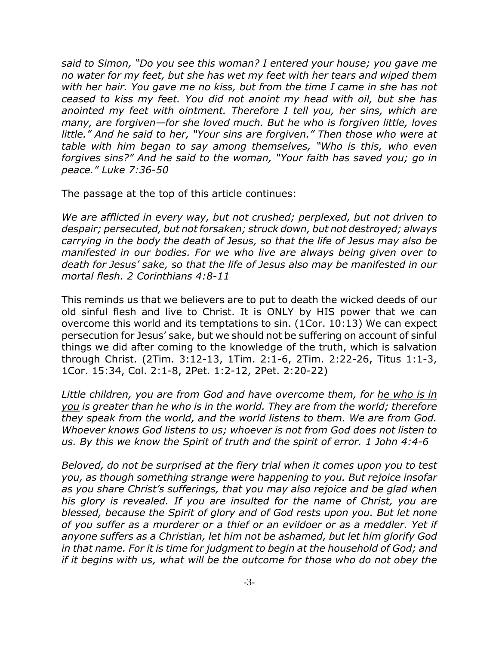*said to Simon, "Do you see this woman? I entered your house; you gave me no water for my feet, but she has wet my feet with her tears and wiped them with her hair. You gave me no kiss, but from the time I came in she has not ceased to kiss my feet. You did not anoint my head with oil, but she has anointed my feet with ointment. Therefore I tell you, her sins, which are many, are forgiven—for she loved much. But he who is forgiven little, loves little." And he said to her, "Your sins are forgiven." Then those who were at table with him began to say among themselves, "Who is this, who even forgives sins?" And he said to the woman, "Your faith has saved you; go in peace." Luke 7:36-50*

The passage at the top of this article continues:

*We are afflicted in every way, but not crushed; perplexed, but not driven to despair; persecuted, but not forsaken; struck down, but not destroyed; always carrying in the body the death of Jesus, so that the life of Jesus may also be manifested in our bodies. For we who live are always being given over to death for Jesus' sake, so that the life of Jesus also may be manifested in our mortal flesh. 2 Corinthians 4:8-11*

This reminds us that we believers are to put to death the wicked deeds of our old sinful flesh and live to Christ. It is ONLY by HIS power that we can overcome this world and its temptations to sin. (1Cor. 10:13) We can expect persecution for Jesus' sake, but we should not be suffering on account of sinful things we did after coming to the knowledge of the truth, which is salvation through Christ. (2Tim. 3:12-13, 1Tim. 2:1-6, 2Tim. 2:22-26, Titus 1:1-3, 1Cor. 15:34, Col. 2:1-8, 2Pet. 1:2-12, 2Pet. 2:20-22)

*Little children, you are from God and have overcome them, for he who is in you is greater than he who is in the world. They are from the world; therefore they speak from the world, and the world listens to them. We are from God. Whoever knows God listens to us; whoever is not from God does not listen to us. By this we know the Spirit of truth and the spirit of error. 1 John 4:4-6*

*Beloved, do not be surprised at the fiery trial when it comes upon you to test you, as though something strange were happening to you. But rejoice insofar as you share Christ's sufferings, that you may also rejoice and be glad when his glory is revealed. If you are insulted for the name of Christ, you are blessed, because the Spirit of glory and of God rests upon you. But let none of you suffer as a murderer or a thief or an evildoer or as a meddler. Yet if anyone suffers as a Christian, let him not be ashamed, but let him glorify God in that name. For it is time for judgment to begin at the household of God; and if it begins with us, what will be the outcome for those who do not obey the*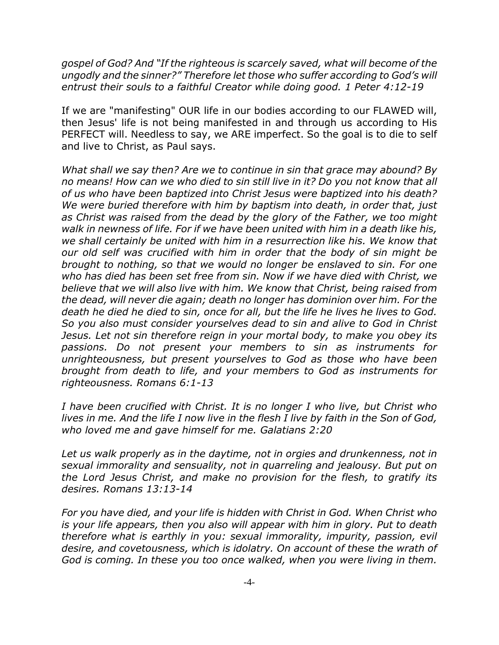*gospel of God? And "If the righteous is scarcely saved, what will become of the ungodly and the sinner?" Therefore let those who suffer according to God's will entrust their souls to a faithful Creator while doing good. 1 Peter 4:12-19*

If we are "manifesting" OUR life in our bodies according to our FLAWED will, then Jesus' life is not being manifested in and through us according to His PERFECT will. Needless to say, we ARE imperfect. So the goal is to die to self and live to Christ, as Paul says.

*What shall we say then? Are we to continue in sin that grace may abound? By no means! How can we who died to sin still live in it? Do you not know that all of us who have been baptized into Christ Jesus were baptized into his death? We were buried therefore with him by baptism into death, in order that, just as Christ was raised from the dead by the glory of the Father, we too might walk in newness of life. For if we have been united with him in a death like his, we shall certainly be united with him in a resurrection like his. We know that our old self was crucified with him in order that the body of sin might be brought to nothing, so that we would no longer be enslaved to sin. For one who has died has been set free from sin. Now if we have died with Christ, we believe that we will also live with him. We know that Christ, being raised from the dead, will never die again; death no longer has dominion over him. For the death he died he died to sin, once for all, but the life he lives he lives to God. So you also must consider yourselves dead to sin and alive to God in Christ Jesus. Let not sin therefore reign in your mortal body, to make you obey its passions. Do not present your members to sin as instruments for unrighteousness, but present yourselves to God as those who have been brought from death to life, and your members to God as instruments for righteousness. Romans 6:1-13*

*I have been crucified with Christ. It is no longer I who live, but Christ who lives in me. And the life I now live in the flesh I live by faith in the Son of God, who loved me and gave himself for me. Galatians 2:20*

*Let us walk properly as in the daytime, not in orgies and drunkenness, not in sexual immorality and sensuality, not in quarreling and jealousy. But put on the Lord Jesus Christ, and make no provision for the flesh, to gratify its desires. Romans 13:13-14*

*For you have died, and your life is hidden with Christ in God. When Christ who is your life appears, then you also will appear with him in glory. Put to death therefore what is earthly in you: sexual immorality, impurity, passion, evil desire, and covetousness, which is idolatry. On account of these the wrath of God is coming. In these you too once walked, when you were living in them.*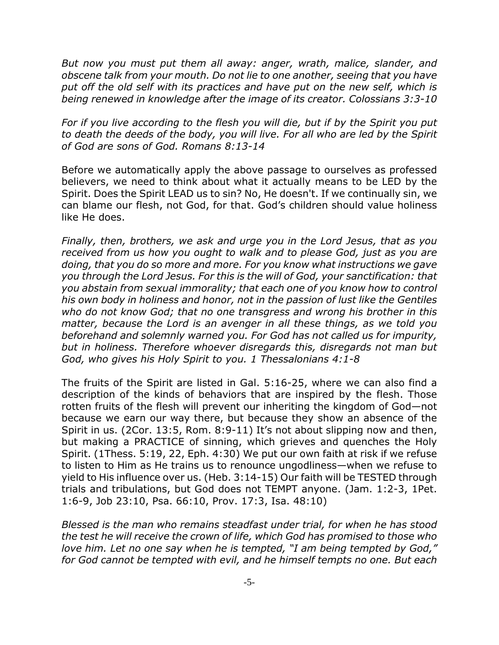*But now you must put them all away: anger, wrath, malice, slander, and obscene talk from your mouth. Do not lie to one another, seeing that you have put off the old self with its practices and have put on the new self, which is being renewed in knowledge after the image of its creator. Colossians 3:3-10*

*For if you live according to the flesh you will die, but if by the Spirit you put to death the deeds of the body, you will live. For all who are led by the Spirit of God are sons of God. Romans 8:13-14*

Before we automatically apply the above passage to ourselves as professed believers, we need to think about what it actually means to be LED by the Spirit. Does the Spirit LEAD us to sin? No, He doesn't. If we continually sin, we can blame our flesh, not God, for that. God's children should value holiness like He does.

*Finally, then, brothers, we ask and urge you in the Lord Jesus, that as you received from us how you ought to walk and to please God, just as you are doing, that you do so more and more. For you know what instructions we gave you through the Lord Jesus. For this is the will of God, your sanctification: that you abstain from sexual immorality; that each one of you know how to control his own body in holiness and honor, not in the passion of lust like the Gentiles who do not know God; that no one transgress and wrong his brother in this matter, because the Lord is an avenger in all these things, as we told you beforehand and solemnly warned you. For God has not called us for impurity, but in holiness. Therefore whoever disregards this, disregards not man but God, who gives his Holy Spirit to you. 1 Thessalonians 4:1-8*

The fruits of the Spirit are listed in Gal. 5:16-25, where we can also find a description of the kinds of behaviors that are inspired by the flesh. Those rotten fruits of the flesh will prevent our inheriting the kingdom of God—not because we earn our way there, but because they show an absence of the Spirit in us. (2Cor. 13:5, Rom. 8:9-11) It's not about slipping now and then, but making a PRACTICE of sinning, which grieves and quenches the Holy Spirit. (1Thess. 5:19, 22, Eph. 4:30) We put our own faith at risk if we refuse to listen to Him as He trains us to renounce ungodliness—when we refuse to yield to His influence over us. (Heb. 3:14-15) Our faith will be TESTED through trials and tribulations, but God does not TEMPT anyone. (Jam. 1:2-3, 1Pet. 1:6-9, Job 23:10, Psa. 66:10, Prov. 17:3, Isa. 48:10)

*Blessed is the man who remains steadfast under trial, for when he has stood the test he will receive the crown of life, which God has promised to those who love him. Let no one say when he is tempted, "I am being tempted by God," for God cannot be tempted with evil, and he himself tempts no one. But each*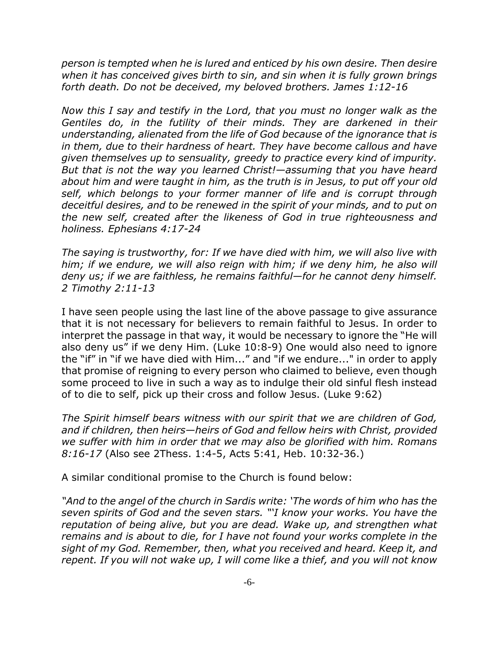*person is tempted when he is lured and enticed by his own desire. Then desire when it has conceived gives birth to sin, and sin when it is fully grown brings forth death. Do not be deceived, my beloved brothers. James 1:12-16*

*Now this I say and testify in the Lord, that you must no longer walk as the Gentiles do, in the futility of their minds. They are darkened in their understanding, alienated from the life of God because of the ignorance that is in them, due to their hardness of heart. They have become callous and have given themselves up to sensuality, greedy to practice every kind of impurity. But that is not the way you learned Christ!—assuming that you have heard about him and were taught in him, as the truth is in Jesus, to put off your old self, which belongs to your former manner of life and is corrupt through deceitful desires, and to be renewed in the spirit of your minds, and to put on the new self, created after the likeness of God in true righteousness and holiness. Ephesians 4:17-24*

*The saying is trustworthy, for: If we have died with him, we will also live with him; if we endure, we will also reign with him; if we deny him, he also will deny us; if we are faithless, he remains faithful—for he cannot deny himself. 2 Timothy 2:11-13*

I have seen people using the last line of the above passage to give assurance that it is not necessary for believers to remain faithful to Jesus. In order to interpret the passage in that way, it would be necessary to ignore the "He will also deny us" if we deny Him. (Luke 10:8-9) One would also need to ignore the "if" in "if we have died with Him..." and "if we endure..." in order to apply that promise of reigning to every person who claimed to believe, even though some proceed to live in such a way as to indulge their old sinful flesh instead of to die to self, pick up their cross and follow Jesus. (Luke 9:62)

*The Spirit himself bears witness with our spirit that we are children of God, and if children, then heirs—heirs of God and fellow heirs with Christ, provided we suffer with him in order that we may also be glorified with him. Romans 8:16-17* (Also see 2Thess. 1:4-5, Acts 5:41, Heb. 10:32-36.)

A similar conditional promise to the Church is found below:

*"And to the angel of the church in Sardis write: 'The words of him who has the seven spirits of God and the seven stars. "'I know your works. You have the reputation of being alive, but you are dead. Wake up, and strengthen what remains and is about to die, for I have not found your works complete in the sight of my God. Remember, then, what you received and heard. Keep it, and repent. If you will not wake up, I will come like a thief, and you will not know*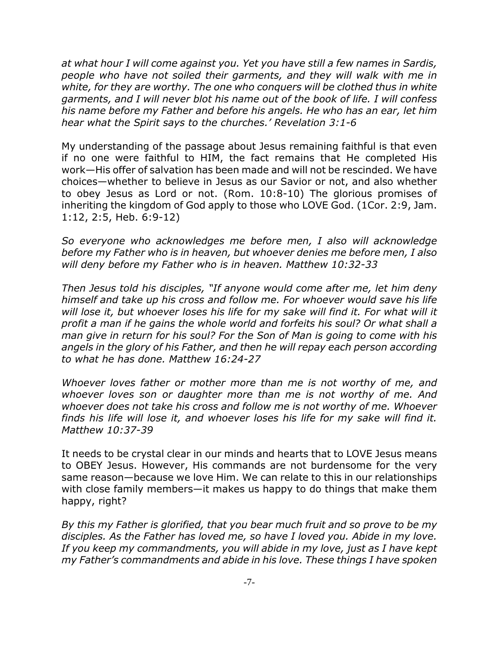*at what hour I will come against you. Yet you have still a few names in Sardis, people who have not soiled their garments, and they will walk with me in white, for they are worthy. The one who conquers will be clothed thus in white garments, and I will never blot his name out of the book of life. I will confess his name before my Father and before his angels. He who has an ear, let him hear what the Spirit says to the churches.' Revelation 3:1-6*

My understanding of the passage about Jesus remaining faithful is that even if no one were faithful to HIM, the fact remains that He completed His work—His offer of salvation has been made and will not be rescinded. We have choices—whether to believe in Jesus as our Savior or not, and also whether to obey Jesus as Lord or not. (Rom. 10:8-10) The glorious promises of inheriting the kingdom of God apply to those who LOVE God. (1Cor. 2:9, Jam. 1:12, 2:5, Heb. 6:9-12)

*So everyone who acknowledges me before men, I also will acknowledge before my Father who is in heaven, but whoever denies me before men, I also will deny before my Father who is in heaven. Matthew 10:32-33*

*Then Jesus told his disciples, "If anyone would come after me, let him deny himself and take up his cross and follow me. For whoever would save his life will lose it, but whoever loses his life for my sake will find it. For what will it profit a man if he gains the whole world and forfeits his soul? Or what shall a man give in return for his soul? For the Son of Man is going to come with his angels in the glory of his Father, and then he will repay each person according to what he has done. Matthew 16:24-27*

*Whoever loves father or mother more than me is not worthy of me, and whoever loves son or daughter more than me is not worthy of me. And whoever does not take his cross and follow me is not worthy of me. Whoever finds his life will lose it, and whoever loses his life for my sake will find it. Matthew 10:37-39*

It needs to be crystal clear in our minds and hearts that to LOVE Jesus means to OBEY Jesus. However, His commands are not burdensome for the very same reason—because we love Him. We can relate to this in our relationships with close family members—it makes us happy to do things that make them happy, right?

*By this my Father is glorified, that you bear much fruit and so prove to be my disciples. As the Father has loved me, so have I loved you. Abide in my love. If you keep my commandments, you will abide in my love, just as I have kept my Father's commandments and abide in his love. These things I have spoken*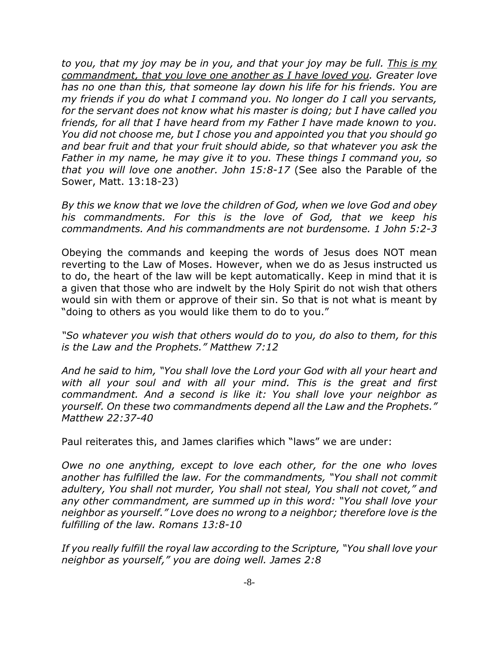*to you, that my joy may be in you, and that your joy may be full. This is my commandment, that you love one another as I have loved you. Greater love has no one than this, that someone lay down his life for his friends. You are my friends if you do what I command you. No longer do I call you servants, for the servant does not know what his master is doing; but I have called you friends, for all that I have heard from my Father I have made known to you. You did not choose me, but I chose you and appointed you that you should go and bear fruit and that your fruit should abide, so that whatever you ask the Father in my name, he may give it to you. These things I command you, so that you will love one another. John 15:8-17* (See also the Parable of the Sower, Matt. 13:18-23)

*By this we know that we love the children of God, when we love God and obey his commandments. For this is the love of God, that we keep his commandments. And his commandments are not burdensome. 1 John 5:2-3*

Obeying the commands and keeping the words of Jesus does NOT mean reverting to the Law of Moses. However, when we do as Jesus instructed us to do, the heart of the law will be kept automatically. Keep in mind that it is a given that those who are indwelt by the Holy Spirit do not wish that others would sin with them or approve of their sin. So that is not what is meant by "doing to others as you would like them to do to you."

*"So whatever you wish that others would do to you, do also to them, for this is the Law and the Prophets." Matthew 7:12*

*And he said to him, "You shall love the Lord your God with all your heart and with all your soul and with all your mind. This is the great and first commandment. And a second is like it: You shall love your neighbor as yourself. On these two commandments depend all the Law and the Prophets." Matthew 22:37-40*

Paul reiterates this, and James clarifies which "laws" we are under:

*Owe no one anything, except to love each other, for the one who loves another has fulfilled the law. For the commandments, "You shall not commit adultery, You shall not murder, You shall not steal, You shall not covet," and any other commandment, are summed up in this word: "You shall love your neighbor as yourself." Love does no wrong to a neighbor; therefore love is the fulfilling of the law. Romans 13:8-10*

*If you really fulfill the royal law according to the Scripture, "You shall love your neighbor as yourself," you are doing well. James 2:8*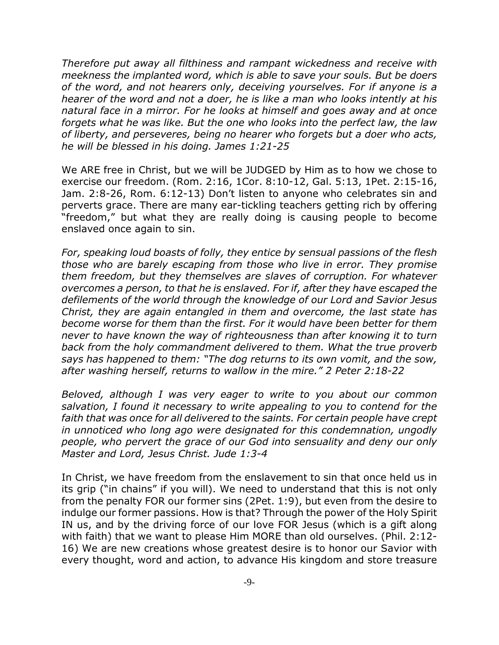*Therefore put away all filthiness and rampant wickedness and receive with meekness the implanted word, which is able to save your souls. But be doers of the word, and not hearers only, deceiving yourselves. For if anyone is a hearer of the word and not a doer, he is like a man who looks intently at his natural face in a mirror. For he looks at himself and goes away and at once forgets what he was like. But the one who looks into the perfect law, the law of liberty, and perseveres, being no hearer who forgets but a doer who acts, he will be blessed in his doing. James 1:21-25*

We ARE free in Christ, but we will be JUDGED by Him as to how we chose to exercise our freedom. (Rom. 2:16, 1Cor. 8:10-12, Gal. 5:13, 1Pet. 2:15-16, Jam. 2:8-26, Rom. 6:12-13) Don't listen to anyone who celebrates sin and perverts grace. There are many ear-tickling teachers getting rich by offering "freedom," but what they are really doing is causing people to become enslaved once again to sin.

*For, speaking loud boasts of folly, they entice by sensual passions of the flesh those who are barely escaping from those who live in error. They promise them freedom, but they themselves are slaves of corruption. For whatever overcomes a person, to that he is enslaved. For if, after they have escaped the defilements of the world through the knowledge of our Lord and Savior Jesus Christ, they are again entangled in them and overcome, the last state has become worse for them than the first. For it would have been better for them never to have known the way of righteousness than after knowing it to turn back from the holy commandment delivered to them. What the true proverb says has happened to them: "The dog returns to its own vomit, and the sow, after washing herself, returns to wallow in the mire." 2 Peter 2:18-22*

*Beloved, although I was very eager to write to you about our common salvation, I found it necessary to write appealing to you to contend for the faith that was once for all delivered to the saints. For certain people have crept in unnoticed who long ago were designated for this condemnation, ungodly people, who pervert the grace of our God into sensuality and deny our only Master and Lord, Jesus Christ. Jude 1:3-4*

In Christ, we have freedom from the enslavement to sin that once held us in its grip ("in chains" if you will). We need to understand that this is not only from the penalty FOR our former sins (2Pet. 1:9), but even from the desire to indulge our former passions. How is that? Through the power of the Holy Spirit IN us, and by the driving force of our love FOR Jesus (which is a gift along with faith) that we want to please Him MORE than old ourselves. (Phil. 2:12- 16) We are new creations whose greatest desire is to honor our Savior with every thought, word and action, to advance His kingdom and store treasure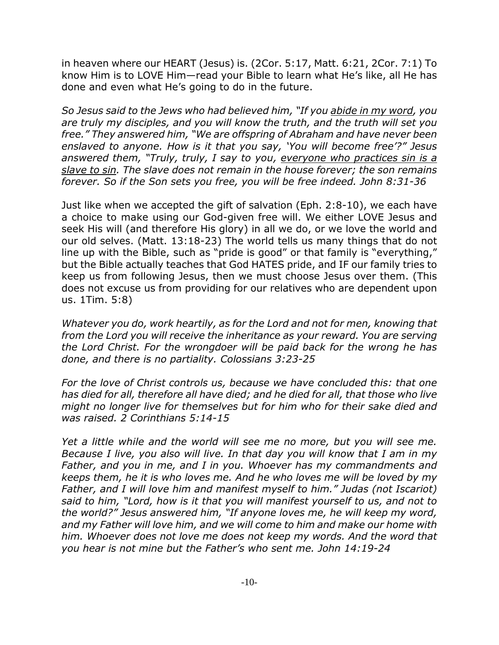in heaven where our HEART (Jesus) is. (2Cor. 5:17, Matt. 6:21, 2Cor. 7:1) To know Him is to LOVE Him—read your Bible to learn what He's like, all He has done and even what He's going to do in the future.

*So Jesus said to the Jews who had believed him, "If you abide in my word, you are truly my disciples, and you will know the truth, and the truth will set you free." They answered him, "We are offspring of Abraham and have never been enslaved to anyone. How is it that you say, 'You will become free'?" Jesus answered them, "Truly, truly, I say to you, everyone who practices sin is a slave to sin. The slave does not remain in the house forever; the son remains forever. So if the Son sets you free, you will be free indeed. John 8:31-36*

Just like when we accepted the gift of salvation (Eph. 2:8-10), we each have a choice to make using our God-given free will. We either LOVE Jesus and seek His will (and therefore His glory) in all we do, or we love the world and our old selves. (Matt. 13:18-23) The world tells us many things that do not line up with the Bible, such as "pride is good" or that family is "everything," but the Bible actually teaches that God HATES pride, and IF our family tries to keep us from following Jesus, then we must choose Jesus over them. (This does not excuse us from providing for our relatives who are dependent upon us. 1Tim. 5:8)

*Whatever you do, work heartily, as for the Lord and not for men, knowing that from the Lord you will receive the inheritance as your reward. You are serving the Lord Christ. For the wrongdoer will be paid back for the wrong he has done, and there is no partiality. Colossians 3:23-25*

*For the love of Christ controls us, because we have concluded this: that one has died for all, therefore all have died; and he died for all, that those who live might no longer live for themselves but for him who for their sake died and was raised. 2 Corinthians 5:14-15*

*Yet a little while and the world will see me no more, but you will see me. Because I live, you also will live. In that day you will know that I am in my Father, and you in me, and I in you. Whoever has my commandments and keeps them, he it is who loves me. And he who loves me will be loved by my Father, and I will love him and manifest myself to him." Judas (not Iscariot) said to him, "Lord, how is it that you will manifest yourself to us, and not to the world?" Jesus answered him, "If anyone loves me, he will keep my word, and my Father will love him, and we will come to him and make our home with him. Whoever does not love me does not keep my words. And the word that you hear is not mine but the Father's who sent me. John 14:19-24*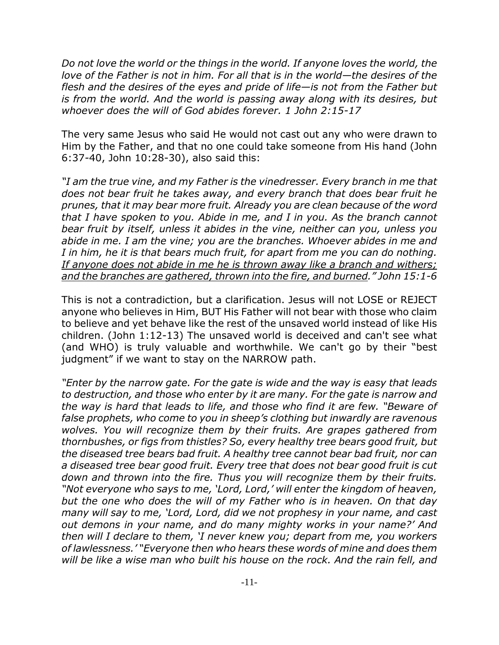*Do not love the world or the things in the world. If anyone loves the world, the love of the Father is not in him. For all that is in the world—the desires of the flesh and the desires of the eyes and pride of life—is not from the Father but is from the world. And the world is passing away along with its desires, but whoever does the will of God abides forever. 1 John 2:15-17*

The very same Jesus who said He would not cast out any who were drawn to Him by the Father, and that no one could take someone from His hand (John 6:37-40, John 10:28-30), also said this:

*"I am the true vine, and my Father is the vinedresser. Every branch in me that does not bear fruit he takes away, and every branch that does bear fruit he prunes, that it may bear more fruit. Already you are clean because of the word that I have spoken to you. Abide in me, and I in you. As the branch cannot bear fruit by itself, unless it abides in the vine, neither can you, unless you abide in me. I am the vine; you are the branches. Whoever abides in me and I in him, he it is that bears much fruit, for apart from me you can do nothing. If anyone does not abide in me he is thrown away like a branch and withers; and the branches are gathered, thrown into the fire, and burned." John 15:1-6*

This is not a contradiction, but a clarification. Jesus will not LOSE or REJECT anyone who believes in Him, BUT His Father will not bear with those who claim to believe and yet behave like the rest of the unsaved world instead of like His children. (John 1:12-13) The unsaved world is deceived and can't see what (and WHO) is truly valuable and worthwhile. We can't go by their "best judgment" if we want to stay on the NARROW path.

*"Enter by the narrow gate. For the gate is wide and the way is easy that leads to destruction, and those who enter by it are many. For the gate is narrow and the way is hard that leads to life, and those who find it are few. "Beware of false prophets, who come to you in sheep's clothing but inwardly are ravenous wolves. You will recognize them by their fruits. Are grapes gathered from thornbushes, or figs from thistles? So, every healthy tree bears good fruit, but the diseased tree bears bad fruit. A healthy tree cannot bear bad fruit, nor can a diseased tree bear good fruit. Every tree that does not bear good fruit is cut down and thrown into the fire. Thus you will recognize them by their fruits. "Not everyone who says to me, 'Lord, Lord,' will enter the kingdom of heaven, but the one who does the will of my Father who is in heaven. On that day many will say to me, 'Lord, Lord, did we not prophesy in your name, and cast out demons in your name, and do many mighty works in your name?' And then will I declare to them, 'I never knew you; depart from me, you workers of lawlessness.' "Everyone then who hears these words of mine and does them will be like a wise man who built his house on the rock. And the rain fell, and*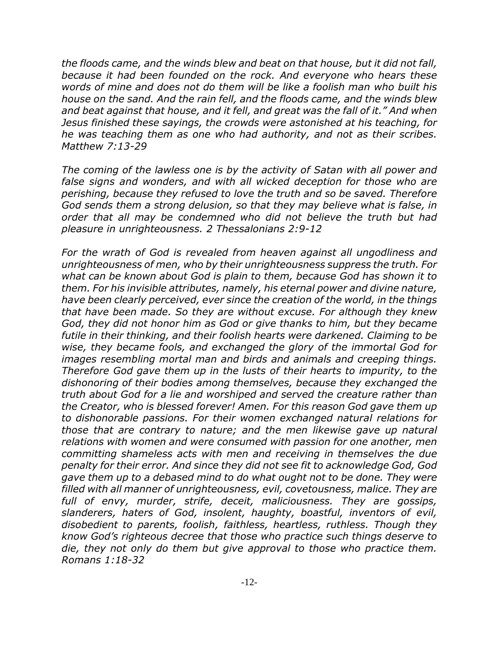*the floods came, and the winds blew and beat on that house, but it did not fall, because it had been founded on the rock. And everyone who hears these words of mine and does not do them will be like a foolish man who built his house on the sand. And the rain fell, and the floods came, and the winds blew and beat against that house, and it fell, and great was the fall of it." And when Jesus finished these sayings, the crowds were astonished at his teaching, for he was teaching them as one who had authority, and not as their scribes. Matthew 7:13-29*

*The coming of the lawless one is by the activity of Satan with all power and false signs and wonders, and with all wicked deception for those who are perishing, because they refused to love the truth and so be saved. Therefore God sends them a strong delusion, so that they may believe what is false, in order that all may be condemned who did not believe the truth but had pleasure in unrighteousness. 2 Thessalonians 2:9-12*

*For the wrath of God is revealed from heaven against all ungodliness and unrighteousness of men, who by their unrighteousness suppress the truth. For what can be known about God is plain to them, because God has shown it to them. For his invisible attributes, namely, his eternal power and divine nature, have been clearly perceived, ever since the creation of the world, in the things that have been made. So they are without excuse. For although they knew God, they did not honor him as God or give thanks to him, but they became futile in their thinking, and their foolish hearts were darkened. Claiming to be wise, they became fools, and exchanged the glory of the immortal God for images resembling mortal man and birds and animals and creeping things. Therefore God gave them up in the lusts of their hearts to impurity, to the dishonoring of their bodies among themselves, because they exchanged the truth about God for a lie and worshiped and served the creature rather than the Creator, who is blessed forever! Amen. For this reason God gave them up to dishonorable passions. For their women exchanged natural relations for those that are contrary to nature; and the men likewise gave up natural relations with women and were consumed with passion for one another, men committing shameless acts with men and receiving in themselves the due penalty for their error. And since they did not see fit to acknowledge God, God gave them up to a debased mind to do what ought not to be done. They were filled with all manner of unrighteousness, evil, covetousness, malice. They are full of envy, murder, strife, deceit, maliciousness. They are gossips, slanderers, haters of God, insolent, haughty, boastful, inventors of evil, disobedient to parents, foolish, faithless, heartless, ruthless. Though they know God's righteous decree that those who practice such things deserve to die, they not only do them but give approval to those who practice them. Romans 1:18-32*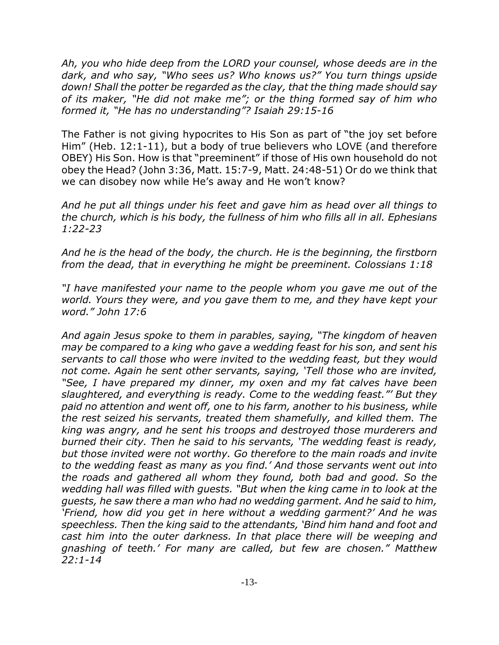*Ah, you who hide deep from the LORD your counsel, whose deeds are in the dark, and who say, "Who sees us? Who knows us?" You turn things upside down! Shall the potter be regarded as the clay, that the thing made should say of its maker, "He did not make me"; or the thing formed say of him who formed it, "He has no understanding"? Isaiah 29:15-16*

The Father is not giving hypocrites to His Son as part of "the joy set before Him" (Heb. 12:1-11), but a body of true believers who LOVE (and therefore OBEY) His Son. How is that "preeminent" if those of His own household do not obey the Head? (John 3:36, Matt. 15:7-9, Matt. 24:48-51) Or do we think that we can disobey now while He's away and He won't know?

*And he put all things under his feet and gave him as head over all things to the church, which is his body, the fullness of him who fills all in all. Ephesians 1:22-23*

*And he is the head of the body, the church. He is the beginning, the firstborn from the dead, that in everything he might be preeminent. Colossians 1:18*

*"I have manifested your name to the people whom you gave me out of the world. Yours they were, and you gave them to me, and they have kept your word." John 17:6*

*And again Jesus spoke to them in parables, saying, "The kingdom of heaven may be compared to a king who gave a wedding feast for his son, and sent his servants to call those who were invited to the wedding feast, but they would not come. Again he sent other servants, saying, 'Tell those who are invited, "See, I have prepared my dinner, my oxen and my fat calves have been slaughtered, and everything is ready. Come to the wedding feast."' But they paid no attention and went off, one to his farm, another to his business, while the rest seized his servants, treated them shamefully, and killed them. The king was angry, and he sent his troops and destroyed those murderers and burned their city. Then he said to his servants, 'The wedding feast is ready, but those invited were not worthy. Go therefore to the main roads and invite to the wedding feast as many as you find.' And those servants went out into the roads and gathered all whom they found, both bad and good. So the wedding hall was filled with guests. "But when the king came in to look at the guests, he saw there a man who had no wedding garment. And he said to him, 'Friend, how did you get in here without a wedding garment?' And he was speechless. Then the king said to the attendants, 'Bind him hand and foot and cast him into the outer darkness. In that place there will be weeping and gnashing of teeth.' For many are called, but few are chosen." Matthew 22:1-14*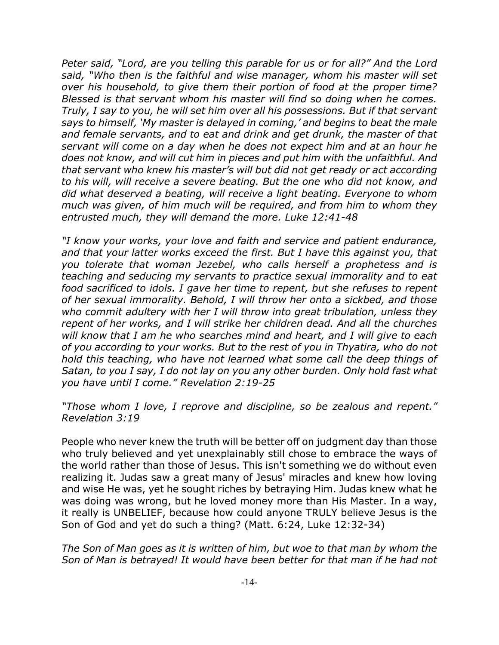*Peter said, "Lord, are you telling this parable for us or for all?" And the Lord said, "Who then is the faithful and wise manager, whom his master will set over his household, to give them their portion of food at the proper time? Blessed is that servant whom his master will find so doing when he comes. Truly, I say to you, he will set him over all his possessions. But if that servant says to himself, 'My master is delayed in coming,' and begins to beat the male and female servants, and to eat and drink and get drunk, the master of that servant will come on a day when he does not expect him and at an hour he does not know, and will cut him in pieces and put him with the unfaithful. And that servant who knew his master's will but did not get ready or act according to his will, will receive a severe beating. But the one who did not know, and did what deserved a beating, will receive a light beating. Everyone to whom much was given, of him much will be required, and from him to whom they entrusted much, they will demand the more. Luke 12:41-48*

*"I know your works, your love and faith and service and patient endurance, and that your latter works exceed the first. But I have this against you, that you tolerate that woman Jezebel, who calls herself a prophetess and is teaching and seducing my servants to practice sexual immorality and to eat food sacrificed to idols. I gave her time to repent, but she refuses to repent of her sexual immorality. Behold, I will throw her onto a sickbed, and those who commit adultery with her I will throw into great tribulation, unless they repent of her works, and I will strike her children dead. And all the churches will know that I am he who searches mind and heart, and I will give to each of you according to your works. But to the rest of you in Thyatira, who do not hold this teaching, who have not learned what some call the deep things of Satan, to you I say, I do not lay on you any other burden. Only hold fast what you have until I come." Revelation 2:19-25*

*"Those whom I love, I reprove and discipline, so be zealous and repent." Revelation 3:19*

People who never knew the truth will be better off on judgment day than those who truly believed and yet unexplainably still chose to embrace the ways of the world rather than those of Jesus. This isn't something we do without even realizing it. Judas saw a great many of Jesus' miracles and knew how loving and wise He was, yet he sought riches by betraying Him. Judas knew what he was doing was wrong, but he loved money more than His Master. In a way, it really is UNBELIEF, because how could anyone TRULY believe Jesus is the Son of God and yet do such a thing? (Matt. 6:24, Luke 12:32-34)

*The Son of Man goes as it is written of him, but woe to that man by whom the Son of Man is betrayed! It would have been better for that man if he had not*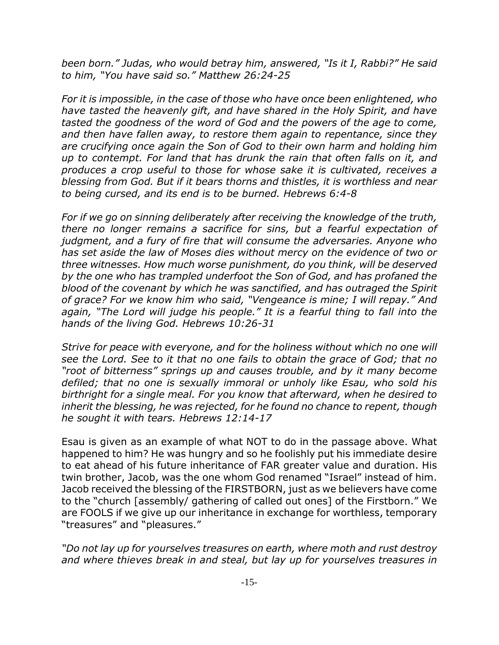*been born." Judas, who would betray him, answered, "Is it I, Rabbi?" He said to him, "You have said so." Matthew 26:24-25*

*For it is impossible, in the case of those who have once been enlightened, who have tasted the heavenly gift, and have shared in the Holy Spirit, and have tasted the goodness of the word of God and the powers of the age to come, and then have fallen away, to restore them again to repentance, since they are crucifying once again the Son of God to their own harm and holding him up to contempt. For land that has drunk the rain that often falls on it, and produces a crop useful to those for whose sake it is cultivated, receives a blessing from God. But if it bears thorns and thistles, it is worthless and near to being cursed, and its end is to be burned. Hebrews 6:4-8*

*For if we go on sinning deliberately after receiving the knowledge of the truth, there no longer remains a sacrifice for sins, but a fearful expectation of judgment, and a fury of fire that will consume the adversaries. Anyone who has set aside the law of Moses dies without mercy on the evidence of two or three witnesses. How much worse punishment, do you think, will be deserved by the one who has trampled underfoot the Son of God, and has profaned the blood of the covenant by which he was sanctified, and has outraged the Spirit of grace? For we know him who said, "Vengeance is mine; I will repay." And again, "The Lord will judge his people." It is a fearful thing to fall into the hands of the living God. Hebrews 10:26-31*

*Strive for peace with everyone, and for the holiness without which no one will see the Lord. See to it that no one fails to obtain the grace of God; that no "root of bitterness" springs up and causes trouble, and by it many become defiled; that no one is sexually immoral or unholy like Esau, who sold his birthright for a single meal. For you know that afterward, when he desired to inherit the blessing, he was rejected, for he found no chance to repent, though he sought it with tears. Hebrews 12:14-17*

Esau is given as an example of what NOT to do in the passage above. What happened to him? He was hungry and so he foolishly put his immediate desire to eat ahead of his future inheritance of FAR greater value and duration. His twin brother, Jacob, was the one whom God renamed "Israel" instead of him. Jacob received the blessing of the FIRSTBORN, just as we believers have come to the "church [assembly/ gathering of called out ones] of the Firstborn." We are FOOLS if we give up our inheritance in exchange for worthless, temporary "treasures" and "pleasures."

*"Do not lay up for yourselves treasures on earth, where moth and rust destroy and where thieves break in and steal, but lay up for yourselves treasures in*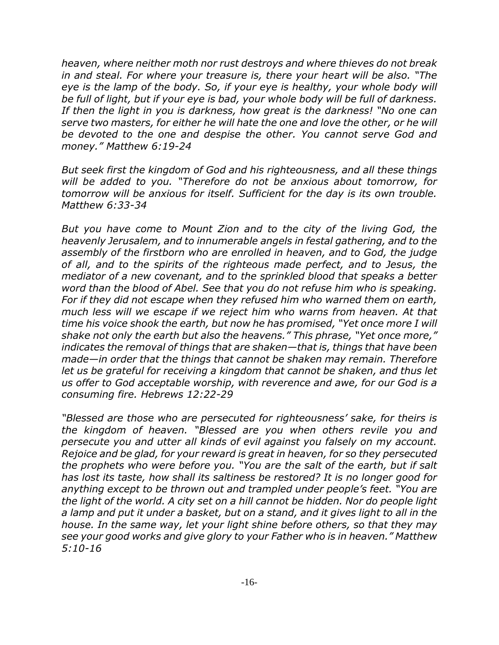*heaven, where neither moth nor rust destroys and where thieves do not break in and steal. For where your treasure is, there your heart will be also. "The eye is the lamp of the body. So, if your eye is healthy, your whole body will be full of light, but if your eye is bad, your whole body will be full of darkness. If then the light in you is darkness, how great is the darkness! "No one can serve two masters, for either he will hate the one and love the other, or he will be devoted to the one and despise the other. You cannot serve God and money." Matthew 6:19-24*

*But seek first the kingdom of God and his righteousness, and all these things will be added to you. "Therefore do not be anxious about tomorrow, for tomorrow will be anxious for itself. Sufficient for the day is its own trouble. Matthew 6:33-34*

*But you have come to Mount Zion and to the city of the living God, the heavenly Jerusalem, and to innumerable angels in festal gathering, and to the assembly of the firstborn who are enrolled in heaven, and to God, the judge of all, and to the spirits of the righteous made perfect, and to Jesus, the mediator of a new covenant, and to the sprinkled blood that speaks a better word than the blood of Abel. See that you do not refuse him who is speaking. For if they did not escape when they refused him who warned them on earth, much less will we escape if we reject him who warns from heaven. At that time his voice shook the earth, but now he has promised, "Yet once more I will shake not only the earth but also the heavens." This phrase, "Yet once more," indicates the removal of things that are shaken—that is, things that have been made—in order that the things that cannot be shaken may remain. Therefore let us be grateful for receiving a kingdom that cannot be shaken, and thus let us offer to God acceptable worship, with reverence and awe, for our God is a consuming fire. Hebrews 12:22-29*

*"Blessed are those who are persecuted for righteousness' sake, for theirs is the kingdom of heaven. "Blessed are you when others revile you and persecute you and utter all kinds of evil against you falsely on my account. Rejoice and be glad, for your reward is great in heaven, for so they persecuted the prophets who were before you. "You are the salt of the earth, but if salt has lost its taste, how shall its saltiness be restored? It is no longer good for anything except to be thrown out and trampled under people's feet. "You are the light of the world. A city set on a hill cannot be hidden. Nor do people light a lamp and put it under a basket, but on a stand, and it gives light to all in the house. In the same way, let your light shine before others, so that they may see your good works and give glory to your Father who is in heaven." Matthew 5:10-16*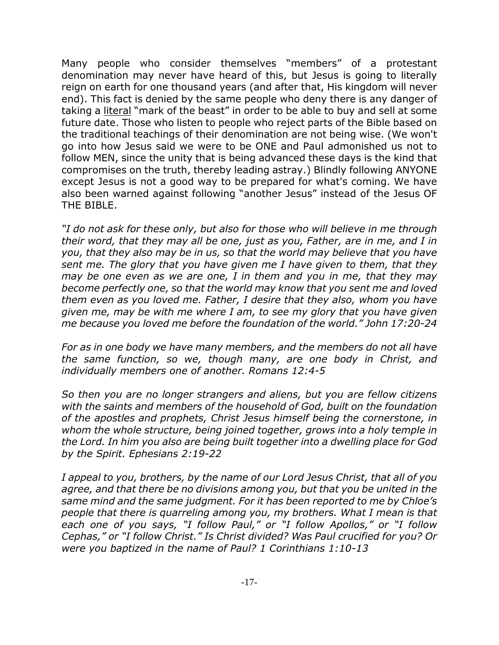Many people who consider themselves "members" of a protestant denomination may never have heard of this, but Jesus is going to literally reign on earth for one thousand years (and after that, His kingdom will never end). This fact is denied by the same people who deny there is any danger of taking a literal "mark of the beast" in order to be able to buy and sell at some future date. Those who listen to people who reject parts of the Bible based on the traditional teachings of their denomination are not being wise. (We won't go into how Jesus said we were to be ONE and Paul admonished us not to follow MEN, since the unity that is being advanced these days is the kind that compromises on the truth, thereby leading astray.) Blindly following ANYONE except Jesus is not a good way to be prepared for what's coming. We have also been warned against following "another Jesus" instead of the Jesus OF THE BIBLE.

*"I do not ask for these only, but also for those who will believe in me through their word, that they may all be one, just as you, Father, are in me, and I in you, that they also may be in us, so that the world may believe that you have sent me. The glory that you have given me I have given to them, that they may be one even as we are one, I in them and you in me, that they may become perfectly one, so that the world may know that you sent me and loved them even as you loved me. Father, I desire that they also, whom you have given me, may be with me where I am, to see my glory that you have given me because you loved me before the foundation of the world." John 17:20-24*

*For as in one body we have many members, and the members do not all have the same function, so we, though many, are one body in Christ, and individually members one of another. Romans 12:4-5*

*So then you are no longer strangers and aliens, but you are fellow citizens with the saints and members of the household of God, built on the foundation of the apostles and prophets, Christ Jesus himself being the cornerstone, in whom the whole structure, being joined together, grows into a holy temple in the Lord. In him you also are being built together into a dwelling place for God by the Spirit. Ephesians 2:19-22*

*I appeal to you, brothers, by the name of our Lord Jesus Christ, that all of you agree, and that there be no divisions among you, but that you be united in the same mind and the same judgment. For it has been reported to me by Chloe's people that there is quarreling among you, my brothers. What I mean is that each one of you says, "I follow Paul," or "I follow Apollos," or "I follow Cephas," or "I follow Christ." Is Christ divided? Was Paul crucified for you? Or were you baptized in the name of Paul? 1 Corinthians 1:10-13*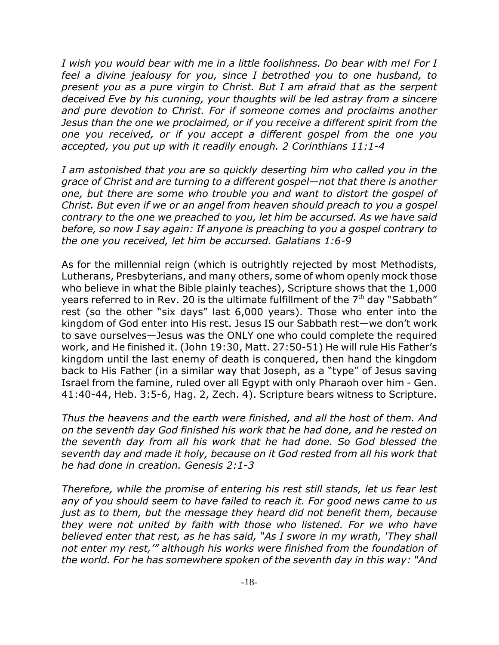*I wish you would bear with me in a little foolishness. Do bear with me! For I feel a divine jealousy for you, since I betrothed you to one husband, to present you as a pure virgin to Christ. But I am afraid that as the serpent deceived Eve by his cunning, your thoughts will be led astray from a sincere and pure devotion to Christ. For if someone comes and proclaims another Jesus than the one we proclaimed, or if you receive a different spirit from the one you received, or if you accept a different gospel from the one you accepted, you put up with it readily enough. 2 Corinthians 11:1-4*

*I am astonished that you are so quickly deserting him who called you in the grace of Christ and are turning to a different gospel—not that there is another one, but there are some who trouble you and want to distort the gospel of Christ. But even if we or an angel from heaven should preach to you a gospel contrary to the one we preached to you, let him be accursed. As we have said before, so now I say again: If anyone is preaching to you a gospel contrary to the one you received, let him be accursed. Galatians 1:6-9*

As for the millennial reign (which is outrightly rejected by most Methodists, Lutherans, Presbyterians, and many others, some of whom openly mock those who believe in what the Bible plainly teaches), Scripture shows that the 1,000 years referred to in Rev. 20 is the ultimate fulfillment of the  $7<sup>th</sup>$  day "Sabbath" rest (so the other "six days" last 6,000 years). Those who enter into the kingdom of God enter into His rest. Jesus IS our Sabbath rest—we don't work to save ourselves—Jesus was the ONLY one who could complete the required work, and He finished it. (John 19:30, Matt. 27:50-51) He will rule His Father's kingdom until the last enemy of death is conquered, then hand the kingdom back to His Father (in a similar way that Joseph, as a "type" of Jesus saving Israel from the famine, ruled over all Egypt with only Pharaoh over him - Gen. 41:40-44, Heb. 3:5-6, Hag. 2, Zech. 4). Scripture bears witness to Scripture.

*Thus the heavens and the earth were finished, and all the host of them. And on the seventh day God finished his work that he had done, and he rested on the seventh day from all his work that he had done. So God blessed the seventh day and made it holy, because on it God rested from all his work that he had done in creation. Genesis 2:1-3*

*Therefore, while the promise of entering his rest still stands, let us fear lest any of you should seem to have failed to reach it. For good news came to us just as to them, but the message they heard did not benefit them, because they were not united by faith with those who listened. For we who have believed enter that rest, as he has said, "As I swore in my wrath, 'They shall not enter my rest,'" although his works were finished from the foundation of the world. For he has somewhere spoken of the seventh day in this way: "And*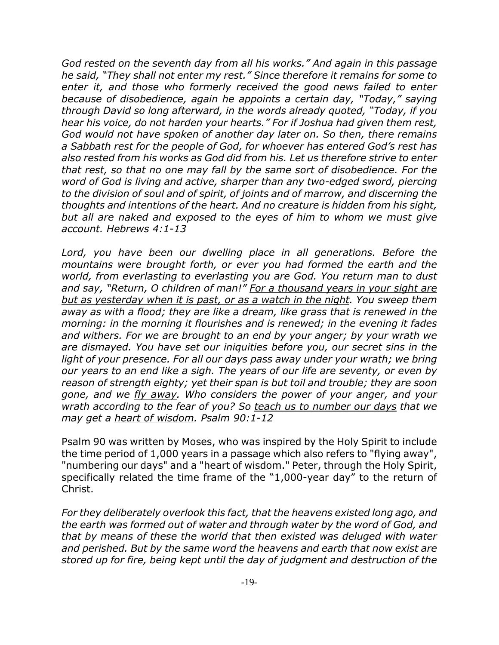*God rested on the seventh day from all his works." And again in this passage he said, "They shall not enter my rest." Since therefore it remains for some to enter it, and those who formerly received the good news failed to enter because of disobedience, again he appoints a certain day, "Today," saying through David so long afterward, in the words already quoted, "Today, if you hear his voice, do not harden your hearts." For if Joshua had given them rest, God would not have spoken of another day later on. So then, there remains a Sabbath rest for the people of God, for whoever has entered God's rest has also rested from his works as God did from his. Let us therefore strive to enter that rest, so that no one may fall by the same sort of disobedience. For the word of God is living and active, sharper than any two-edged sword, piercing to the division of soul and of spirit, of joints and of marrow, and discerning the thoughts and intentions of the heart. And no creature is hidden from his sight, but all are naked and exposed to the eyes of him to whom we must give account. Hebrews 4:1-13*

*Lord, you have been our dwelling place in all generations. Before the mountains were brought forth, or ever you had formed the earth and the world, from everlasting to everlasting you are God. You return man to dust and say, "Return, O children of man!" For a thousand years in your sight are but as yesterday when it is past, or as a watch in the night. You sweep them away as with a flood; they are like a dream, like grass that is renewed in the morning: in the morning it flourishes and is renewed; in the evening it fades and withers. For we are brought to an end by your anger; by your wrath we are dismayed. You have set our iniquities before you, our secret sins in the light of your presence. For all our days pass away under your wrath; we bring our years to an end like a sigh. The years of our life are seventy, or even by reason of strength eighty; yet their span is but toil and trouble; they are soon gone, and we fly away. Who considers the power of your anger, and your wrath according to the fear of you? So teach us to number our days that we may get a heart of wisdom. Psalm 90:1-12*

Psalm 90 was written by Moses, who was inspired by the Holy Spirit to include the time period of 1,000 years in a passage which also refers to "flying away", "numbering our days" and a "heart of wisdom." Peter, through the Holy Spirit, specifically related the time frame of the "1,000-year day" to the return of Christ.

*For they deliberately overlook this fact, that the heavens existed long ago, and the earth was formed out of water and through water by the word of God, and that by means of these the world that then existed was deluged with water and perished. But by the same word the heavens and earth that now exist are stored up for fire, being kept until the day of judgment and destruction of the*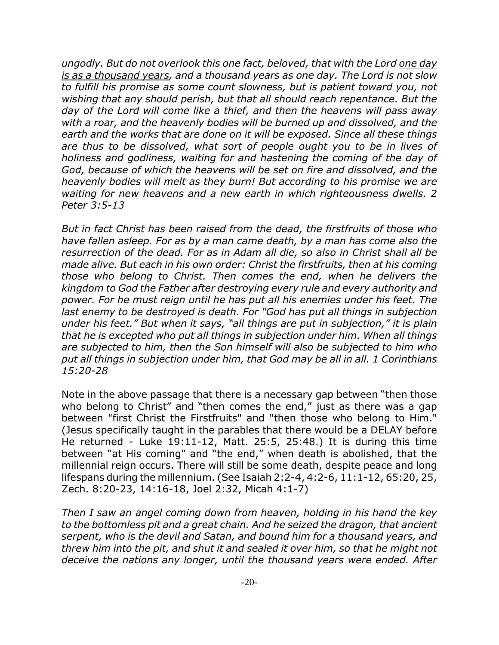*ungodly. But do not overlook this one fact, beloved, that with the Lord one day is as a thousand years, and a thousand years as one day. The Lord is not slow to fulfill his promise as some count slowness, but is patient toward you, not wishing that any should perish, but that all should reach repentance. But the day of the Lord will come like a thief, and then the heavens will pass away with a roar, and the heavenly bodies will be burned up and dissolved, and the earth and the works that are done on it will be exposed. Since all these things are thus to be dissolved, what sort of people ought you to be in lives of holiness and godliness, waiting for and hastening the coming of the day of God, because of which the heavens will be set on fire and dissolved, and the heavenly bodies will melt as they burn! But according to his promise we are waiting for new heavens and a new earth in which righteousness dwells. 2 Peter 3:5-13*

*But in fact Christ has been raised from the dead, the firstfruits of those who have fallen asleep. For as by a man came death, by a man has come also the resurrection of the dead. For as in Adam all die, so also in Christ shall all be made alive. But each in his own order: Christ the firstfruits, then at his coming those who belong to Christ. Then comes the end, when he delivers the kingdom to God the Father after destroying every rule and every authority and power. For he must reign until he has put all his enemies under his feet. The last enemy to be destroyed is death. For "God has put all things in subjection under his feet." But when it says, "all things are put in subjection," it is plain that he is excepted who put all things in subjection under him. When all things are subjected to him, then the Son himself will also be subjected to him who put all things in subjection under him, that God may be all in all. 1 Corinthians 15:20-28*

Note in the above passage that there is a necessary gap between "then those who belong to Christ" and "then comes the end," just as there was a gap between "first Christ the Firstfruits" and "then those who belong to Him." (Jesus specifically taught in the parables that there would be a DELAY before He returned - Luke 19:11-12, Matt. 25:5, 25:48.) It is during this time between "at His coming" and "the end," when death is abolished, that the millennial reign occurs. There will still be some death, despite peace and long lifespans during the millennium. (See Isaiah 2:2-4, 4:2-6, 11:1-12, 65:20, 25, Zech. 8:20-23, 14:16-18, Joel 2:32, Micah 4:1-7)

*Then I saw an angel coming down from heaven, holding in his hand the key to the bottomless pit and a great chain. And he seized the dragon, that ancient serpent, who is the devil and Satan, and bound him for a thousand years, and threw him into the pit, and shut it and sealed it over him, so that he might not deceive the nations any longer, until the thousand years were ended. After*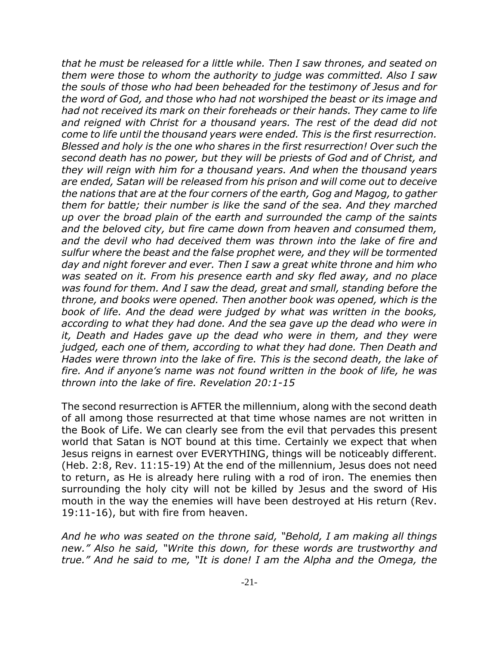*that he must be released for a little while. Then I saw thrones, and seated on them were those to whom the authority to judge was committed. Also I saw the souls of those who had been beheaded for the testimony of Jesus and for the word of God, and those who had not worshiped the beast or its image and had not received its mark on their foreheads or their hands. They came to life and reigned with Christ for a thousand years. The rest of the dead did not come to life until the thousand years were ended. This is the first resurrection. Blessed and holy is the one who shares in the first resurrection! Over such the second death has no power, but they will be priests of God and of Christ, and they will reign with him for a thousand years. And when the thousand years are ended, Satan will be released from his prison and will come out to deceive the nations that are at the four corners of the earth, Gog and Magog, to gather them for battle; their number is like the sand of the sea. And they marched up over the broad plain of the earth and surrounded the camp of the saints and the beloved city, but fire came down from heaven and consumed them, and the devil who had deceived them was thrown into the lake of fire and sulfur where the beast and the false prophet were, and they will be tormented day and night forever and ever. Then I saw a great white throne and him who was seated on it. From his presence earth and sky fled away, and no place was found for them. And I saw the dead, great and small, standing before the throne, and books were opened. Then another book was opened, which is the book of life. And the dead were judged by what was written in the books, according to what they had done. And the sea gave up the dead who were in it, Death and Hades gave up the dead who were in them, and they were judged, each one of them, according to what they had done. Then Death and Hades were thrown into the lake of fire. This is the second death, the lake of fire. And if anyone's name was not found written in the book of life, he was thrown into the lake of fire. Revelation 20:1-15*

The second resurrection is AFTER the millennium, along with the second death of all among those resurrected at that time whose names are not written in the Book of Life. We can clearly see from the evil that pervades this present world that Satan is NOT bound at this time. Certainly we expect that when Jesus reigns in earnest over EVERYTHING, things will be noticeably different. (Heb. 2:8, Rev. 11:15-19) At the end of the millennium, Jesus does not need to return, as He is already here ruling with a rod of iron. The enemies then surrounding the holy city will not be killed by Jesus and the sword of His mouth in the way the enemies will have been destroyed at His return (Rev. 19:11-16), but with fire from heaven.

*And he who was seated on the throne said, "Behold, I am making all things new." Also he said, "Write this down, for these words are trustworthy and true." And he said to me, "It is done! I am the Alpha and the Omega, the*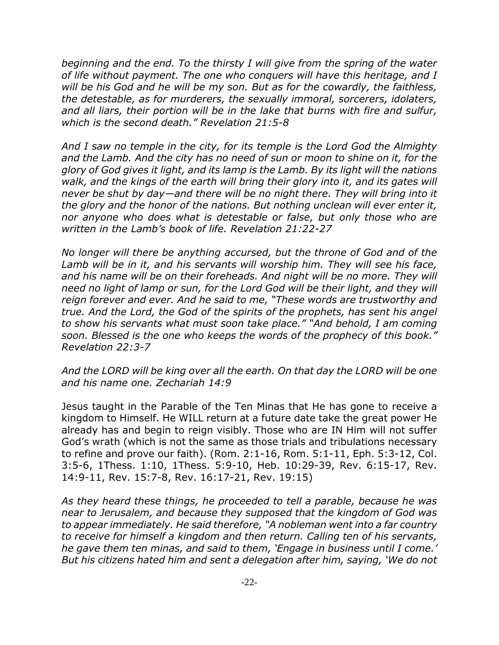*beginning and the end. To the thirsty I will give from the spring of the water of life without payment. The one who conquers will have this heritage, and I will be his God and he will be my son. But as for the cowardly, the faithless, the detestable, as for murderers, the sexually immoral, sorcerers, idolaters, and all liars, their portion will be in the lake that burns with fire and sulfur, which is the second death." Revelation 21:5-8*

*And I saw no temple in the city, for its temple is the Lord God the Almighty and the Lamb. And the city has no need of sun or moon to shine on it, for the glory of God gives it light, and its lamp is the Lamb. By its light will the nations walk, and the kings of the earth will bring their glory into it, and its gates will never be shut by day—and there will be no night there. They will bring into it the glory and the honor of the nations. But nothing unclean will ever enter it, nor anyone who does what is detestable or false, but only those who are written in the Lamb's book of life. Revelation 21:22-27*

*No longer will there be anything accursed, but the throne of God and of the Lamb will be in it, and his servants will worship him. They will see his face, and his name will be on their foreheads. And night will be no more. They will need no light of lamp or sun, for the Lord God will be their light, and they will reign forever and ever. And he said to me, "These words are trustworthy and true. And the Lord, the God of the spirits of the prophets, has sent his angel to show his servants what must soon take place." "And behold, I am coming soon. Blessed is the one who keeps the words of the prophecy of this book." Revelation 22:3-7*

*And the LORD will be king over all the earth. On that day the LORD will be one and his name one. Zechariah 14:9*

Jesus taught in the Parable of the Ten Minas that He has gone to receive a kingdom to Himself. He WILL return at a future date take the great power He already has and begin to reign visibly. Those who are IN Him will not suffer God's wrath (which is not the same as those trials and tribulations necessary to refine and prove our faith). (Rom. 2:1-16, Rom. 5:1-11, Eph. 5:3-12, Col. 3:5-6, 1Thess. 1:10, 1Thess. 5:9-10, Heb. 10:29-39, Rev. 6:15-17, Rev. 14:9-11, Rev. 15:7-8, Rev. 16:17-21, Rev. 19:15)

*As they heard these things, he proceeded to tell a parable, because he was near to Jerusalem, and because they supposed that the kingdom of God was to appear immediately. He said therefore, "A nobleman went into a far country to receive for himself a kingdom and then return. Calling ten of his servants, he gave them ten minas, and said to them, 'Engage in business until I come.' But his citizens hated him and sent a delegation after him, saying, 'We do not*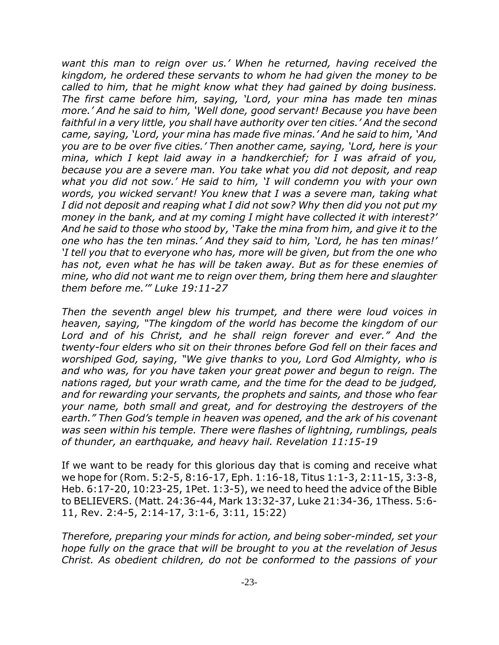*want this man to reign over us.' When he returned, having received the kingdom, he ordered these servants to whom he had given the money to be called to him, that he might know what they had gained by doing business. The first came before him, saying, 'Lord, your mina has made ten minas more.' And he said to him, 'Well done, good servant! Because you have been faithful in a very little, you shall have authority over ten cities.' And the second came, saying, 'Lord, your mina has made five minas.' And he said to him, 'And you are to be over five cities.' Then another came, saying, 'Lord, here is your mina, which I kept laid away in a handkerchief; for I was afraid of you, because you are a severe man. You take what you did not deposit, and reap what you did not sow.' He said to him, 'I will condemn you with your own words, you wicked servant! You knew that I was a severe man, taking what I did not deposit and reaping what I did not sow? Why then did you not put my money in the bank, and at my coming I might have collected it with interest?' And he said to those who stood by, 'Take the mina from him, and give it to the one who has the ten minas.' And they said to him, 'Lord, he has ten minas!' 'I tell you that to everyone who has, more will be given, but from the one who has not, even what he has will be taken away. But as for these enemies of mine, who did not want me to reign over them, bring them here and slaughter them before me.'" Luke 19:11-27*

*Then the seventh angel blew his trumpet, and there were loud voices in heaven, saying, "The kingdom of the world has become the kingdom of our Lord and of his Christ, and he shall reign forever and ever." And the twenty-four elders who sit on their thrones before God fell on their faces and worshiped God, saying, "We give thanks to you, Lord God Almighty, who is and who was, for you have taken your great power and begun to reign. The nations raged, but your wrath came, and the time for the dead to be judged, and for rewarding your servants, the prophets and saints, and those who fear your name, both small and great, and for destroying the destroyers of the earth." Then God's temple in heaven was opened, and the ark of his covenant was seen within his temple. There were flashes of lightning, rumblings, peals of thunder, an earthquake, and heavy hail. Revelation 11:15-19*

If we want to be ready for this glorious day that is coming and receive what we hope for (Rom. 5:2-5, 8:16-17, Eph. 1:16-18, Titus 1:1-3, 2:11-15, 3:3-8, Heb. 6:17-20, 10:23-25, 1Pet. 1:3-5), we need to heed the advice of the Bible to BELIEVERS. (Matt. 24:36-44, Mark 13:32-37, Luke 21:34-36, 1Thess. 5:6- 11, Rev. 2:4-5, 2:14-17, 3:1-6, 3:11, 15:22)

*Therefore, preparing your minds for action, and being sober-minded, set your hope fully on the grace that will be brought to you at the revelation of Jesus Christ. As obedient children, do not be conformed to the passions of your*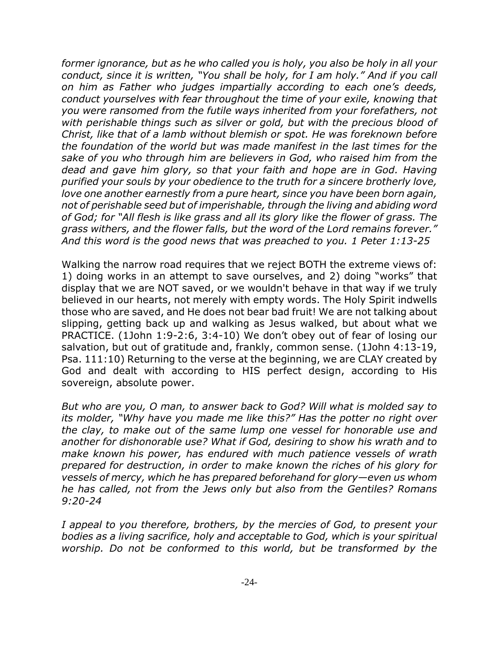*former ignorance, but as he who called you is holy, you also be holy in all your conduct, since it is written, "You shall be holy, for I am holy." And if you call on him as Father who judges impartially according to each one's deeds, conduct yourselves with fear throughout the time of your exile, knowing that you were ransomed from the futile ways inherited from your forefathers, not with perishable things such as silver or gold, but with the precious blood of Christ, like that of a lamb without blemish or spot. He was foreknown before the foundation of the world but was made manifest in the last times for the sake of you who through him are believers in God, who raised him from the dead and gave him glory, so that your faith and hope are in God. Having purified your souls by your obedience to the truth for a sincere brotherly love, love one another earnestly from a pure heart, since you have been born again, not of perishable seed but of imperishable, through the living and abiding word of God; for "All flesh is like grass and all its glory like the flower of grass. The grass withers, and the flower falls, but the word of the Lord remains forever." And this word is the good news that was preached to you. 1 Peter 1:13-25*

Walking the narrow road requires that we reject BOTH the extreme views of: 1) doing works in an attempt to save ourselves, and 2) doing "works" that display that we are NOT saved, or we wouldn't behave in that way if we truly believed in our hearts, not merely with empty words. The Holy Spirit indwells those who are saved, and He does not bear bad fruit! We are not talking about slipping, getting back up and walking as Jesus walked, but about what we PRACTICE. (1John 1:9-2:6, 3:4-10) We don't obey out of fear of losing our salvation, but out of gratitude and, frankly, common sense. (1John 4:13-19, Psa. 111:10) Returning to the verse at the beginning, we are CLAY created by God and dealt with according to HIS perfect design, according to His sovereign, absolute power.

*But who are you, O man, to answer back to God? Will what is molded say to its molder, "Why have you made me like this?" Has the potter no right over the clay, to make out of the same lump one vessel for honorable use and another for dishonorable use? What if God, desiring to show his wrath and to make known his power, has endured with much patience vessels of wrath prepared for destruction, in order to make known the riches of his glory for vessels of mercy, which he has prepared beforehand for glory—even us whom he has called, not from the Jews only but also from the Gentiles? Romans 9:20-24*

*I appeal to you therefore, brothers, by the mercies of God, to present your bodies as a living sacrifice, holy and acceptable to God, which is your spiritual worship. Do not be conformed to this world, but be transformed by the*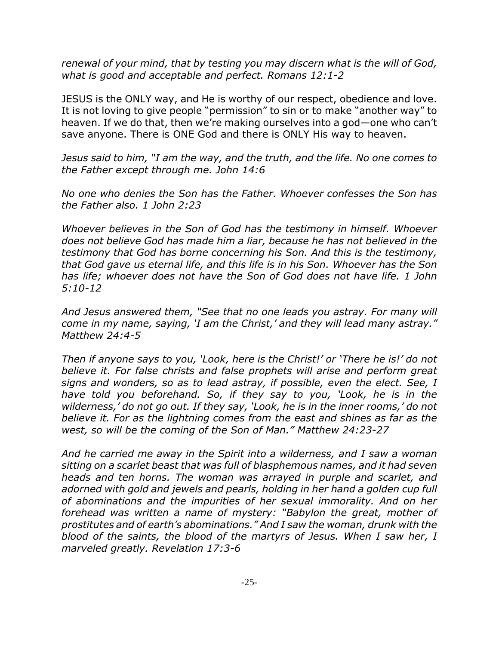*renewal of your mind, that by testing you may discern what is the will of God, what is good and acceptable and perfect. Romans 12:1-2*

JESUS is the ONLY way, and He is worthy of our respect, obedience and love. It is not loving to give people "permission" to sin or to make "another way" to heaven. If we do that, then we're making ourselves into a god—one who can't save anyone. There is ONE God and there is ONLY His way to heaven.

*Jesus said to him, "I am the way, and the truth, and the life. No one comes to the Father except through me. John 14:6*

*No one who denies the Son has the Father. Whoever confesses the Son has the Father also. 1 John 2:23*

*Whoever believes in the Son of God has the testimony in himself. Whoever does not believe God has made him a liar, because he has not believed in the testimony that God has borne concerning his Son. And this is the testimony, that God gave us eternal life, and this life is in his Son. Whoever has the Son has life; whoever does not have the Son of God does not have life. 1 John 5:10-12*

*And Jesus answered them, "See that no one leads you astray. For many will come in my name, saying, 'I am the Christ,' and they will lead many astray." Matthew 24:4-5*

*Then if anyone says to you, 'Look, here is the Christ!' or 'There he is!' do not believe it. For false christs and false prophets will arise and perform great signs and wonders, so as to lead astray, if possible, even the elect. See, I have told you beforehand. So, if they say to you, 'Look, he is in the wilderness,' do not go out. If they say, 'Look, he is in the inner rooms,' do not believe it. For as the lightning comes from the east and shines as far as the west, so will be the coming of the Son of Man." Matthew 24:23-27*

*And he carried me away in the Spirit into a wilderness, and I saw a woman sitting on a scarlet beast that was full of blasphemous names, and it had seven heads and ten horns. The woman was arrayed in purple and scarlet, and adorned with gold and jewels and pearls, holding in her hand a golden cup full of abominations and the impurities of her sexual immorality. And on her forehead was written a name of mystery: "Babylon the great, mother of prostitutes and of earth's abominations." And I saw the woman, drunk with the blood of the saints, the blood of the martyrs of Jesus. When I saw her, I marveled greatly. Revelation 17:3-6*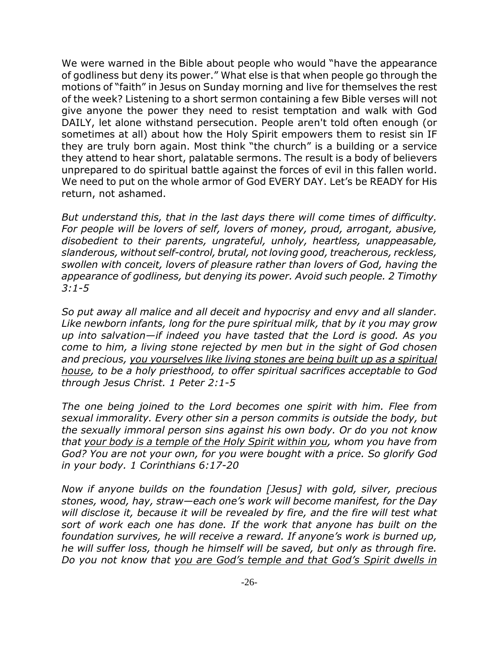We were warned in the Bible about people who would "have the appearance of godliness but deny its power." What else is that when people go through the motions of "faith" in Jesus on Sunday morning and live for themselves the rest of the week? Listening to a short sermon containing a few Bible verses will not give anyone the power they need to resist temptation and walk with God DAILY, let alone withstand persecution. People aren't told often enough (or sometimes at all) about how the Holy Spirit empowers them to resist sin IF they are truly born again. Most think "the church" is a building or a service they attend to hear short, palatable sermons. The result is a body of believers unprepared to do spiritual battle against the forces of evil in this fallen world. We need to put on the whole armor of God EVERY DAY. Let's be READY for His return, not ashamed.

*But understand this, that in the last days there will come times of difficulty. For people will be lovers of self, lovers of money, proud, arrogant, abusive, disobedient to their parents, ungrateful, unholy, heartless, unappeasable, slanderous, without self-control, brutal, not loving good, treacherous, reckless, swollen with conceit, lovers of pleasure rather than lovers of God, having the appearance of godliness, but denying its power. Avoid such people. 2 Timothy 3:1-5*

*So put away all malice and all deceit and hypocrisy and envy and all slander. Like newborn infants, long for the pure spiritual milk, that by it you may grow up into salvation—if indeed you have tasted that the Lord is good. As you come to him, a living stone rejected by men but in the sight of God chosen and precious, you yourselves like living stones are being built up as a spiritual house, to be a holy priesthood, to offer spiritual sacrifices acceptable to God through Jesus Christ. 1 Peter 2:1-5*

*The one being joined to the Lord becomes one spirit with him. Flee from sexual immorality. Every other sin a person commits is outside the body, but the sexually immoral person sins against his own body. Or do you not know that your body is a temple of the Holy Spirit within you, whom you have from God? You are not your own, for you were bought with a price. So glorify God in your body. 1 Corinthians 6:17-20*

*Now if anyone builds on the foundation [Jesus] with gold, silver, precious stones, wood, hay, straw—each one's work will become manifest, for the Day will disclose it, because it will be revealed by fire, and the fire will test what sort of work each one has done. If the work that anyone has built on the foundation survives, he will receive a reward. If anyone's work is burned up, he will suffer loss, though he himself will be saved, but only as through fire. Do you not know that you are God's temple and that God's Spirit dwells in*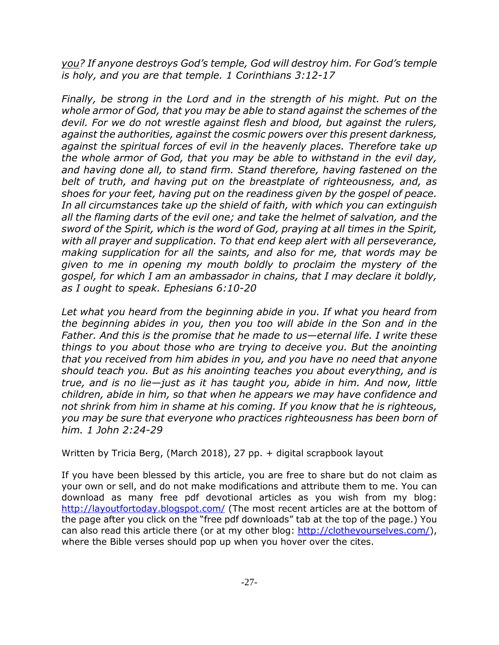*you? If anyone destroys God's temple, God will destroy him. For God's temple is holy, and you are that temple. 1 Corinthians 3:12-17*

*Finally, be strong in the Lord and in the strength of his might. Put on the whole armor of God, that you may be able to stand against the schemes of the devil. For we do not wrestle against flesh and blood, but against the rulers, against the authorities, against the cosmic powers over this present darkness, against the spiritual forces of evil in the heavenly places. Therefore take up the whole armor of God, that you may be able to withstand in the evil day, and having done all, to stand firm. Stand therefore, having fastened on the belt of truth, and having put on the breastplate of righteousness, and, as shoes for your feet, having put on the readiness given by the gospel of peace. In all circumstances take up the shield of faith, with which you can extinguish all the flaming darts of the evil one; and take the helmet of salvation, and the sword of the Spirit, which is the word of God, praying at all times in the Spirit, with all prayer and supplication. To that end keep alert with all perseverance, making supplication for all the saints, and also for me, that words may be given to me in opening my mouth boldly to proclaim the mystery of the gospel, for which I am an ambassador in chains, that I may declare it boldly, as I ought to speak. Ephesians 6:10-20*

*Let what you heard from the beginning abide in you. If what you heard from the beginning abides in you, then you too will abide in the Son and in the Father. And this is the promise that he made to us—eternal life. I write these things to you about those who are trying to deceive you. But the anointing that you received from him abides in you, and you have no need that anyone should teach you. But as his anointing teaches you about everything, and is true, and is no lie—just as it has taught you, abide in him. And now, little children, abide in him, so that when he appears we may have confidence and not shrink from him in shame at his coming. If you know that he is righteous, you may be sure that everyone who practices righteousness has been born of him. 1 John 2:24-29*

Written by Tricia Berg, (March 2018), 27 pp. + digital scrapbook layout

If you have been blessed by this article, you are free to share but do not claim as your own or sell, and do not make modifications and attribute them to me. You can download as many free pdf devotional articles as you wish from my blog: http://layoutfortoday.blogspot.com/ (The most recent articles are at the bottom of the page after you click on the "free pdf downloads" tab at the top of the page.) You can also read this article there (or at my other blog: http://clotheyourselves.com/), where the Bible verses should pop up when you hover over the cites.